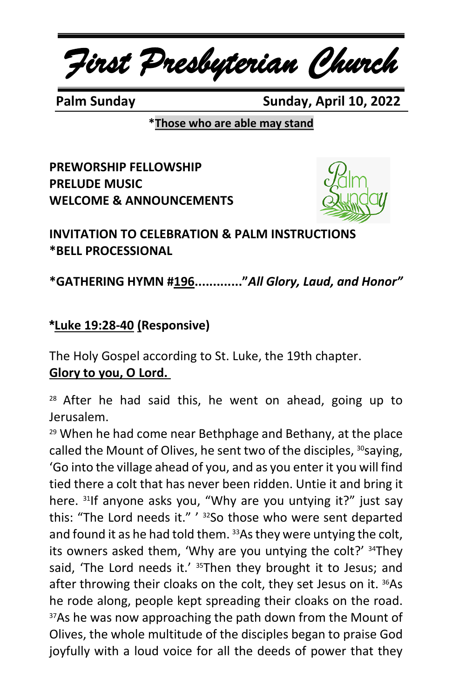*First Presbyterian Church*

 **Palm Sunday Sunday, April 10, 2022**

**\*Those who are able may stand**

**PREWORSHIP FELLOWSHIP PRELUDE MUSIC WELCOME & ANNOUNCEMENTS**



**INVITATION TO CELEBRATION & PALM INSTRUCTIONS \*BELL PROCESSIONAL**

**\*GATHERING HYMN #196............."***All Glory, Laud, and Honor"*

# **\*Luke 19:28-40 (Responsive)**

The Holy Gospel according to St. Luke, the 19th chapter. **Glory to you, O Lord.**

 $28$  After he had said this, he went on ahead, going up to Jerusalem.

<sup>29</sup> When he had come near Bethphage and Bethany, at the place called the Mount of Olives, he sent two of the disciples, <sup>30</sup>saying, 'Go into the village ahead of you, and as you enter it you will find tied there a colt that has never been ridden. Untie it and bring it here. 31If anyone asks you, "Why are you untying it?" just say this: "The Lord needs it." ' <sup>32</sup>So those who were sent departed and found it as he had told them. 33As they were untying the colt, its owners asked them, 'Why are you untying the colt?' <sup>34</sup>They said, 'The Lord needs it.' <sup>35</sup>Then they brought it to Jesus; and after throwing their cloaks on the colt, they set Jesus on it. 36As he rode along, people kept spreading their cloaks on the road. <sup>37</sup>As he was now approaching the path down from the Mount of Olives, the whole multitude of the disciples began to praise God joyfully with a loud voice for all the deeds of power that they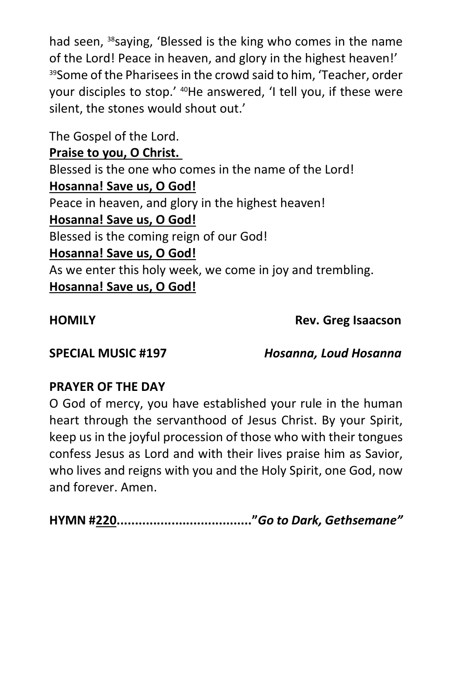had seen, <sup>38</sup>saying, 'Blessed is the king who comes in the name of the Lord! Peace in heaven, and glory in the highest heaven!' 39Some of the Pharisees in the crowd said to him, 'Teacher, order your disciples to stop.' <sup>40</sup>He answered, 'I tell you, if these were silent, the stones would shout out.'

The Gospel of the Lord. **Praise to you, O Christ.** Blessed is the one who comes in the name of the Lord! **Hosanna! Save us, O God!** Peace in heaven, and glory in the highest heaven! **Hosanna! Save us, O God!** Blessed is the coming reign of our God! **Hosanna! Save us, O God!** As we enter this holy week, we come in joy and trembling. **Hosanna! Save us, O God!**

**HOMILY Rev. Greg Isaacson**

**SPECIAL MUSIC #197** *Hosanna, Loud Hosanna*

## **PRAYER OF THE DAY**

O God of mercy, you have established your rule in the human heart through the servanthood of Jesus Christ. By your Spirit, keep us in the joyful procession of those who with their tongues confess Jesus as Lord and with their lives praise him as Savior, who lives and reigns with you and the Holy Spirit, one God, now and forever. Amen.

**HYMN #220....................................."***Go to Dark, Gethsemane"*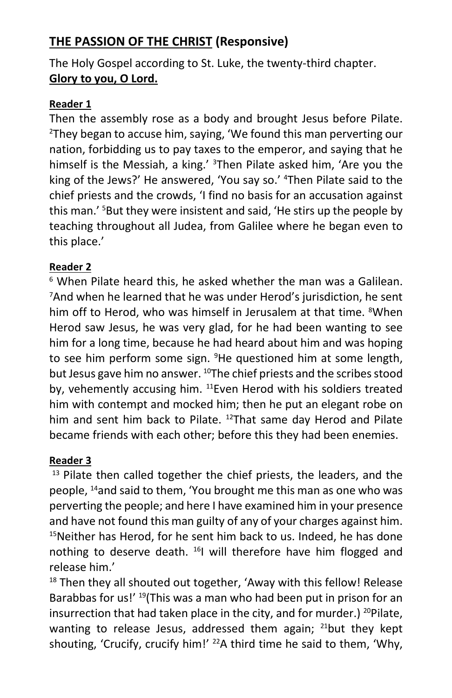# **THE PASSION OF THE CHRIST (Responsive)**

The Holy Gospel according to St. Luke, the twenty-third chapter. **Glory to you, O Lord.**

#### **Reader 1**

Then the assembly rose as a body and brought Jesus before Pilate. <sup>2</sup>They began to accuse him, saying, 'We found this man perverting our nation, forbidding us to pay taxes to the emperor, and saying that he himself is the Messiah, a king.' <sup>3</sup>Then Pilate asked him, 'Are you the king of the Jews?' He answered, 'You say so.' <sup>4</sup>Then Pilate said to the chief priests and the crowds, 'I find no basis for an accusation against this man.' <sup>5</sup>But they were insistent and said, 'He stirs up the people by teaching throughout all Judea, from Galilee where he began even to this place.'

#### **Reader 2**

<sup>6</sup> When Pilate heard this, he asked whether the man was a Galilean. <sup>7</sup>And when he learned that he was under Herod's jurisdiction, he sent him off to Herod, who was himself in Jerusalem at that time. <sup>8</sup>When Herod saw Jesus, he was very glad, for he had been wanting to see him for a long time, because he had heard about him and was hoping to see him perform some sign. <sup>9</sup>He questioned him at some length, but Jesus gave him no answer.  $^{10}$ The chief priests and the scribes stood by, vehemently accusing him. <sup>11</sup>Even Herod with his soldiers treated him with contempt and mocked him; then he put an elegant robe on him and sent him back to Pilate. <sup>12</sup>That same day Herod and Pilate became friends with each other; before this they had been enemies.

### **Reader 3**

 $13$  Pilate then called together the chief priests, the leaders, and the people, <sup>14</sup>and said to them, 'You brought me this man as one who was perverting the people; and here I have examined him in your presence and have not found this man guilty of any of your charges against him.  $15$ Neither has Herod, for he sent him back to us. Indeed, he has done nothing to deserve death. <sup>16</sup>I will therefore have him flogged and release him.'

<sup>18</sup> Then they all shouted out together, 'Away with this fellow! Release Barabbas for us!' <sup>19</sup>(This was a man who had been put in prison for an insurrection that had taken place in the city, and for murder.) <sup>20</sup>Pilate, wanting to release Jesus, addressed them again;  $^{21}$ but they kept shouting, 'Crucify, crucify him!' <sup>22</sup>A third time he said to them, 'Why,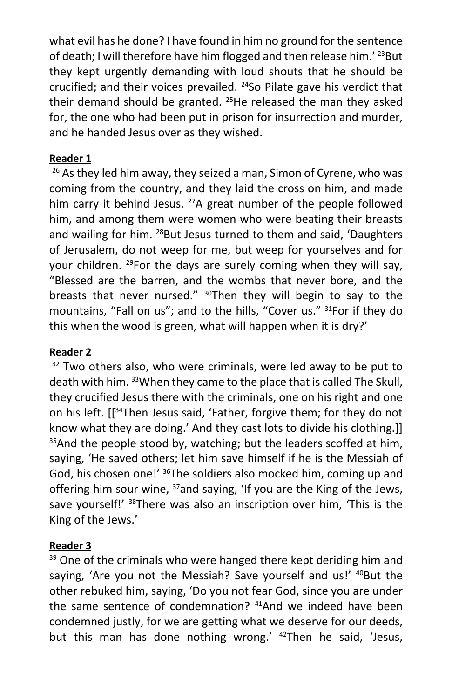what evil has he done? I have found in him no ground for the sentence of death; I will therefore have him flogged and then release him.' <sup>23</sup>But they kept urgently demanding with loud shouts that he should be crucified; and their voices prevailed. <sup>24</sup>So Pilate gave his verdict that their demand should be granted.  $25$ He released the man they asked for, the one who had been put in prison for insurrection and murder, and he handed Jesus over as they wished.

#### **Reader 1**

<sup>26</sup> As they led him away, they seized a man, Simon of Cyrene, who was coming from the country, and they laid the cross on him, and made him carry it behind Jesus. <sup>27</sup>A great number of the people followed him, and among them were women who were beating their breasts and wailing for him. <sup>28</sup>But Jesus turned to them and said, 'Daughters of Jerusalem, do not weep for me, but weep for yourselves and for your children. <sup>29</sup>For the days are surely coming when they will say, "Blessed are the barren, and the wombs that never bore, and the breasts that never nursed." <sup>30</sup>Then they will begin to say to the mountains, "Fall on us"; and to the hills, "Cover us." <sup>31</sup>For if they do this when the wood is green, what will happen when it is dry?'

#### **Reader 2**

 $32$  Two others also, who were criminals, were led away to be put to death with him. <sup>33</sup>When they came to the place that is called The Skull, they crucified Jesus there with the criminals, one on his right and one on his left. [[<sup>34</sup>Then Jesus said, 'Father, forgive them; for they do not know what they are doing.' And they cast lots to divide his clothing.]] <sup>35</sup>And the people stood by, watching; but the leaders scoffed at him. saying, 'He saved others; let him save himself if he is the Messiah of God, his chosen one!' <sup>36</sup>The soldiers also mocked him, coming up and offering him sour wine, <sup>37</sup>and saying, 'If you are the King of the Jews, save yourself!' <sup>38</sup>There was also an inscription over him, 'This is the King of the Jews.'

#### **Reader 3**

<sup>39</sup> One of the criminals who were hanged there kept deriding him and saying, 'Are you not the Messiah? Save yourself and us!' <sup>40</sup>But the other rebuked him, saying, 'Do you not fear God, since you are under the same sentence of condemnation? <sup>41</sup>And we indeed have been condemned justly, for we are getting what we deserve for our deeds, but this man has done nothing wrong.' <sup>42</sup>Then he said, 'Jesus,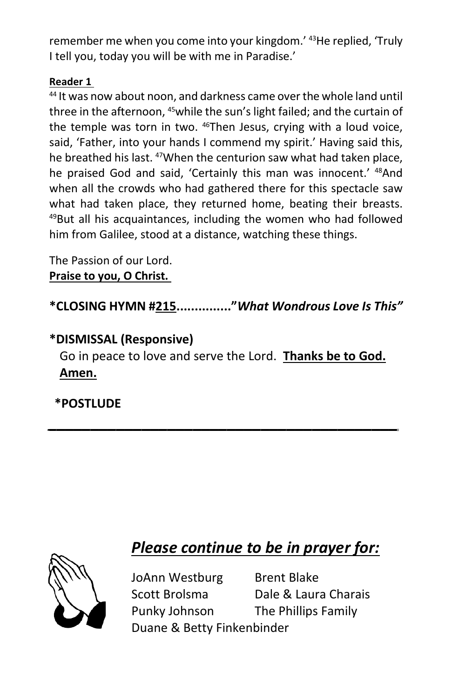remember me when you come into your kingdom.' <sup>43</sup>He replied, 'Truly I tell you, today you will be with me in Paradise.'

#### **Reader 1**

<sup>44</sup> It was now about noon, and darkness came over the whole land until three in the afternoon, <sup>45</sup>while the sun's light failed; and the curtain of the temple was torn in two. <sup>46</sup>Then Jesus, crying with a loud voice, said, 'Father, into your hands I commend my spirit.' Having said this, he breathed his last. <sup>47</sup>When the centurion saw what had taken place, he praised God and said, 'Certainly this man was innocent.' <sup>48</sup>And when all the crowds who had gathered there for this spectacle saw what had taken place, they returned home, beating their breasts. <sup>49</sup>But all his acquaintances, including the women who had followed him from Galilee, stood at a distance, watching these things.

The Passion of our Lord. **Praise to you, O Christ.**

**\*CLOSING HYMN #215..............."***What Wondrous Love Is This"*

# **\*DISMISSAL (Responsive)**

Go in peace to love and serve the Lord. **Thanks be to God. Amen.**

*\_\_\_\_\_\_\_\_\_\_\_\_\_\_\_\_\_\_\_\_\_\_\_\_\_\_\_\_\_\_\_\_\_\_\_\_\_\_\_\_\_*

**\*POSTLUDE**

# *Please continue to be in prayer for:*



JoAnn Westburg Brent Blake Scott Brolsma Dale & Laura Charais Punky Johnson The Phillips Family Duane & Betty Finkenbinder